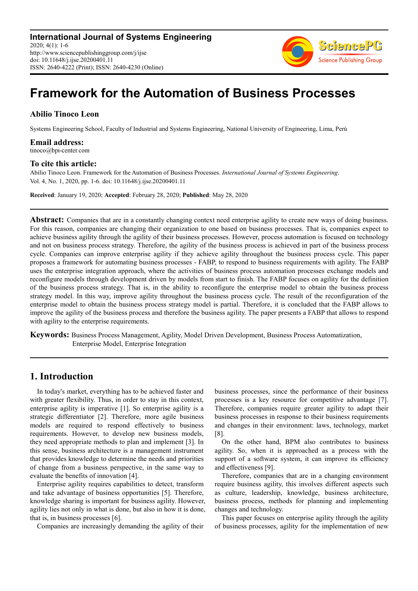

# **Framework for the Automation of Business Processes**

### **Abilio Tinoco Leon**

Systems Engineering School, Faculty of Industrial and Systems Engineering, National University of Engineering, Lima, Perú

**Email address:**<br>tinoco@bpi-center.com

### **To cite this article:**

Abilio Tinoco Leon. Framework for the Automation of Business Processes. *International Journal of Systems Engineering*. Vol. 4, No. 1, 2020, pp. 1-6. doi: 10.11648/j.ijse.20200401.11

**Received**: January 19, 2020; **Accepted**: February 28, 2020; **Published**: May 28, 2020

**Abstract:** Companies that are in a constantly changing context need enterprise agility to create new ways of doing business. For this reason, companies are changing their organization to one based on business processes. That is, companies expect to achieve business agility through the agility of their business processes. However, process automation is focused on technology and not on business process strategy. Therefore, the agility of the business process is achieved in part of the business process cycle. Companies can improve enterprise agility if they achieve agility throughout the business process cycle. This paper proposes a framework for automating business processes - FABP, to respond to business requirements with agility. The FABP uses the enterprise integration approach, where the activities of business process automation processes exchange models and reconfigure models through development driven by models from start to finish. The FABP focuses on agility for the definition of the business process strategy. That is, in the ability to reconfigure the enterprise model to obtain the business process strategy model. In this way, improve agility throughout the business process cycle. The result of the reconfiguration of the enterprise model to obtain the business process strategy model is partial. Therefore, it is concluded that the FABP allows to improve the agility of the business process and therefore the business agility. The paper presents a FABP that allows to respond with agility to the enterprise requirements.

**Keywords:** Business Process Management, Agility, Model Driven Development, Business Process Automatization, Enterprise Model, Enterprise Integration

## **1. Introduction**

In today's market, everything has to be achieved faster and with greater flexibility. Thus, in order to stay in this context, enterprise agility is imperative [1]. So enterprise agility is a strategic differentiator [2]. Therefore, more agile business models are required to respond effectively to business requirements. However, to develop new business models, they need appropriate methods to plan and implement [3]. In this sense, business architecture is a management instrument that provides knowledge to determine the needs and priorities of change from a business perspective, in the same way to evaluate the benefits of innovation [4].

Enterprise agility requires capabilities to detect, transform and take advantage of business opportunities [5]. Therefore, knowledge sharing is important for business agility. However, agility lies not only in what is done, but also in how it is done, that is, in business processes [6].

Companies are increasingly demanding the agility of their

business processes, since the performance of their business processes is a key resource for competitive advantage [7]. Therefore, companies require greater agility to adapt their business processes in response to their business requirements and changes in their environment: laws, technology, market [8].

On the other hand, BPM also contributes to business agility. So, when it is approached as a process with the support of a software system, it can improve its efficiency and effectiveness [9].

Therefore, companies that are in a changing environment require business agility, this involves different aspects such as culture, leadership, knowledge, business architecture, business process, methods for planning and implementing changes and technology.

This paper focuses on enterprise agility through the agility of business processes, agility for the implementation of new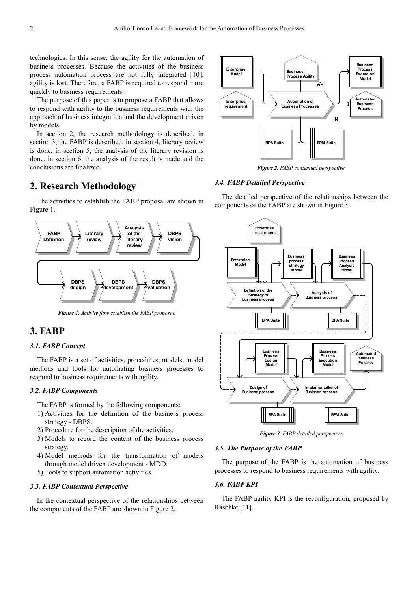technologies. In this sense, the agility for the automation of business processes. Because the activities of the business process automation process are not fully integrated [10], agility is lost. Therefore, a FABP is required to respond more quickly to business requirements.

The purpose of this paper is to propose a FABP that allows to respond with agility to the business requirements with the approach of business integration and the development driven by models.

In section 2, the research methodology is described, in section 3, the FABP is described, in section 4, literary review is done, in section 5, the analysis of the literary revision is done, in section 6, the analysis of the result is made and the conclusions are finalized.

# **2. Research Methodology**

The activities to establish the FABP proposal are shown in Figure 1.



*Figure 1. Activity flow establish the FABP proposal.* 

# **3. FABP**

### *3.1. FABP Concept*

The FABP is a set of activities, procedures, models, model methods and tools for automating business processes to respond to business requirements with agility.

### *3.2. FABP Components*

The FABP is formed by the following components:

- 1) Activities for the definition of the business process strategy - DBPS.
- 2) Procedure for the description of the activities.
- 3) Models to record the content of the business process strategy.
- 4) Model methods for the transformation of models through model driven development - MDD.
- 5) Tools to support automation activities.

### *3.3. FABP Contextual Perspective*

In the contextual perspective of the relationships between the components of the FABP are shown in Figure 2.



*Figure 2. FABP contextual perspective.*

### *3.4. FABP Detailed Perspective*

The detailed perspective of the relationships between the components of the FABP are shown in Figure 3.



*Figure 3. FABP detailed perspective.* 

### *3.5. The Purpose of the FABP*

The purpose of the FABP is the automation of business processes to respond to business requirements with agility.

### *3.6. FABP KPI*

The FABP agility KPI is the reconfiguration, proposed by Raschke [11].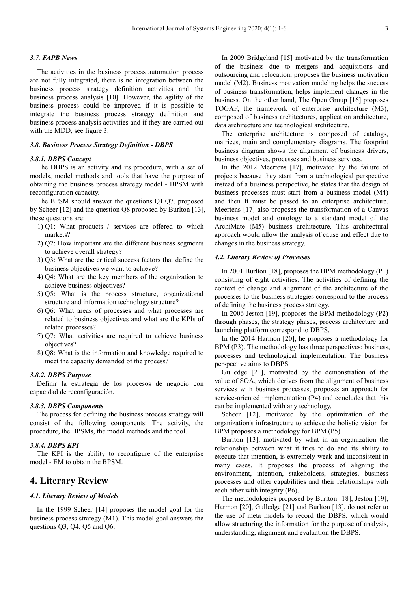### *3.7. FAPB News*

The activities in the business process automation process are not fully integrated, there is no integration between the business process strategy definition activities and the business process analysis [10]. However, the agility of the business process could be improved if it is possible to integrate the business process strategy definition and business process analysis activities and if they are carried out with the MDD, see figure 3.

### *3.8. Business Process Strategy Definition - DBPS*

### *3.8.1. DBPS Concept*

The DBPS is an activity and its procedure, with a set of models, model methods and tools that have the purpose of obtaining the business process strategy model - BPSM with reconfiguration capacity.

The BPSM should answer the questions Q1.Q7, proposed by Scheer [12] and the question Q8 proposed by Burlton [13], these questions are:

- 1) Q1: What products / services are offered to which markets?
- 2) Q2: How important are the different business segments to achieve overall strategy?
- 3) Q3: What are the critical success factors that define the business objectives we want to achieve?
- 4) Q4: What are the key members of the organization to achieve business objectives?
- 5) Q5: What is the process structure, organizational structure and information technology structure?
- 6) Q6: What areas of processes and what processes are related to business objectives and what are the KPIs of related processes?
- 7) Q7: What activities are required to achieve business objectives?
- 8) Q8: What is the information and knowledge required to meet the capacity demanded of the process?

### *3.8.2. DBPS Purpose*

Definir la estrategia de los procesos de negocio con capacidad de reconfiguración.

### *3.8.3. DBPS Components*

The process for defining the business process strategy will consist of the following components: The activity, the procedure, the BPSMs, the model methods and the tool.

#### *3.8.4. DBPS KPI*

The KPI is the ability to reconfigure of the enterprise model - EM to obtain the BPSM.

### **4. Literary Review**

### *4.1. Literary Review of Models*

In the 1999 Scheer [14] proposes the model goal for the business process strategy (M1). This model goal answers the questions Q3, Q4, Q5 and Q6.

In 2009 Bridgeland [15] motivated by the transformation of the business due to mergers and acquisitions and outsourcing and relocation, proposes the business motivation model (M2). Business motivation modeling helps the success of business transformation, helps implement changes in the business. On the other hand, The Open Group [16] proposes TOGAF, the framework of enterprise architecture (M3), composed of business architectures, application architecture, data architecture and technological architecture.

The enterprise architecture is composed of catalogs, matrices, main and complementary diagrams. The footprint business diagram shows the alignment of business drivers, business objectives, processes and business services.

In the 2012 Meertens [17], motivated by the failure of projects because they start from a technological perspective instead of a business perspective, he states that the design of business processes must start from a business model (M4) and then It must be passed to an enterprise architecture. Meertens [17] also proposes the transformation of a Canvas business model and ontology to a standard model of the ArchiMate (M5) business architecture. This architectural approach would allow the analysis of cause and effect due to changes in the business strategy.

### *4.2. Literary Review of Processes*

In 2001 Burlton [18], proposes the BPM methodology (P1) consisting of eight activities. The activities of defining the context of change and alignment of the architecture of the processes to the business strategies correspond to the process of defining the business process strategy.

In 2006 Jeston [19], proposes the BPM methodology (P2) through phases, the strategy phases, process architecture and launching platform correspond to DBPS.

In the 2014 Harmon [20], he proposes a methodology for BPM (P3). The methodology has three perspectives: business, processes and technological implementation. The business perspective aims to DBPS.

Gulledge [21], motivated by the demonstration of the value of SOA, which derives from the alignment of business services with business processes, proposes an approach for service-oriented implementation (P4) and concludes that this can be implemented with any technology.

Scheer [12], motivated by the optimization of the organization's infrastructure to achieve the holistic vision for BPM proposes a methodology for BPM (P5).

Burlton [13], motivated by what in an organization the relationship between what it tries to do and its ability to execute that intention, is extremely weak and inconsistent in many cases. It proposes the process of aligning the environment, intention, stakeholders, strategies, business processes and other capabilities and their relationships with each other with integrity (P6).

The methodologies proposed by Burlton [18], Jeston [19], Harmon [20], Gulledge [21] and Burlton [13], do not refer to the use of meta models to record the DBPS, which would allow structuring the information for the purpose of analysis, understanding, alignment and evaluation the DBPS.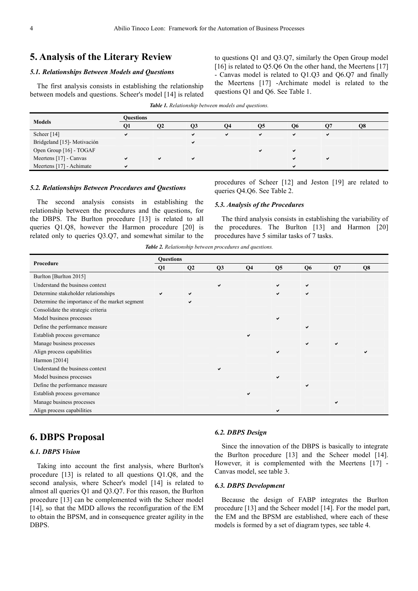# **5. Analysis of the Literary Review**

### *5.1. Relationships Between Models and Questions*

The first analysis consists in establishing the relationship between models and questions. Scheer's model [14] is related to questions Q1 and Q3.Q7, similarly the Open Group model [16] is related to O5.06 On the other hand, the Meertens [17] - Canvas model is related to Q1.Q3 and Q6.Q7 and finally the Meertens [17] -Archimate model is related to the questions Q1 and Q6. See Table 1.

| <b>Table 1.</b> Relationship between models and questions. |  |  |  |
|------------------------------------------------------------|--|--|--|
|------------------------------------------------------------|--|--|--|

|                            | <b>Ouestions</b> |                |    |    |    |    |   |    |  |
|----------------------------|------------------|----------------|----|----|----|----|---|----|--|
| <b>Models</b>              | О1               | O <sub>2</sub> | Q3 | Ο4 | Ο5 | О6 |   | О8 |  |
| Scheer $[14]$              |                  |                |    | ✓  | ✔  | ✔  | ✔ |    |  |
| Bridgeland [15]-Motivación |                  |                |    |    |    |    |   |    |  |
| Open Group [16] - TOGAF    |                  |                |    |    |    |    |   |    |  |
| Meertens [17] - Canvas     |                  |                |    |    |    |    |   |    |  |
| Meertens [17] - Achimate   |                  |                |    |    |    | ✔  |   |    |  |

#### *5.2. Relationships Between Procedures and Questions*

The second analysis consists in establishing the relationship between the procedures and the questions, for the DBPS. The Burlton procedure [13] is related to all queries Q1.Q8, however the Harmon procedure [20] is related only to queries Q3.Q7, and somewhat similar to the

procedures of Scheer [12] and Jeston [19] are related to queries Q4.Q6. See Table 2.

#### *5.3. Analysis of the Procedures*

The third analysis consists in establishing the variability of the procedures. The Burlton [13] and Harmon [20] procedures have 5 similar tasks of 7 tasks.

*Table 2. Relationship between procedures and questions.*

| Procedure                                      | <b>Questions</b> |    |    |                |                |                |    |    |  |
|------------------------------------------------|------------------|----|----|----------------|----------------|----------------|----|----|--|
|                                                | Q1               | Q2 | Q3 | Q <sub>4</sub> | Q <sub>5</sub> | Q <sub>6</sub> | Q7 | Q8 |  |
| Burlton [Burlton 2015]                         |                  |    |    |                |                |                |    |    |  |
| Understand the business context                |                  |    | ✔  |                | ✓              | ✓              |    |    |  |
| Determine stakeholder relationships            | ✓                | ✔  |    |                | ✓              | ✓              |    |    |  |
| Determine the importance of the market segment |                  |    |    |                |                |                |    |    |  |
| Consolidate the strategic criteria             |                  |    |    |                |                |                |    |    |  |
| Model business processes                       |                  |    |    |                | $\checkmark$   |                |    |    |  |
| Define the performance measure                 |                  |    |    |                |                | ◡              |    |    |  |
| Establish process governance                   |                  |    |    | ✔              |                |                |    |    |  |
| Manage business processes                      |                  |    |    |                |                | ◡              | ✓  |    |  |
| Align process capabilities                     |                  |    |    |                | ✔              |                |    |    |  |
| Harmon [2014]                                  |                  |    |    |                |                |                |    |    |  |
| Understand the business context                |                  |    | ✔  |                |                |                |    |    |  |
| Model business processes                       |                  |    |    |                | $\checkmark$   |                |    |    |  |
| Define the performance measure                 |                  |    |    |                |                | u              |    |    |  |
| Establish process governance                   |                  |    |    | ✔              |                |                |    |    |  |
| Manage business processes                      |                  |    |    |                |                |                | ✔  |    |  |
| Align process capabilities                     |                  |    |    |                | ✓              |                |    |    |  |

### **6. DBPS Proposal**

### *6.1. DBPS Vision*

Taking into account the first analysis, where Burlton's procedure [13] is related to all questions Q1.Q8, and the second analysis, where Scheer's model [14] is related to almost all queries Q1 and Q3.Q7. For this reason, the Burlton procedure [13] can be complemented with the Scheer model [14], so that the MDD allows the reconfiguration of the EM to obtain the BPSM, and in consequence greater agility in the DBPS.

#### *6.2. DBPS Design*

Since the innovation of the DBPS is basically to integrate the Burlton procedure [13] and the Scheer model [14]. However, it is complemented with the Meertens [17] - Canvas model, see table 3.

#### *6.3. DBPS Development*

Because the design of FABP integrates the Burlton procedure [13] and the Scheer model [14]. For the model part, the EM and the BPSM are established, where each of these models is formed by a set of diagram types, see table 4.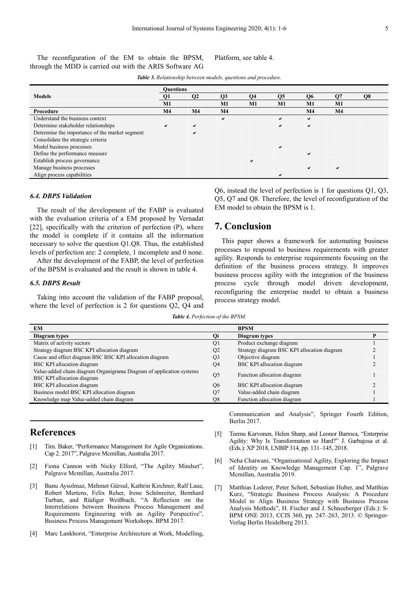The reconfiguration of the EM to obtain the BPSM, through the MDD is carried out with the ARIS Software AG

Platform, see table 4.

|                                                | <b>Ouestions</b> |                |                |                 |                |                |                |    |
|------------------------------------------------|------------------|----------------|----------------|-----------------|----------------|----------------|----------------|----|
| <b>Models</b>                                  | Q1               | Q <sub>2</sub> | Q3             | $\overline{Q4}$ | Q <sub>5</sub> | Q <sub>6</sub> | <b>O</b> 7     | Q8 |
|                                                | M1               |                | <b>M1</b>      | M1              | M1             | M1             | M1             |    |
| Procedure                                      | M <sub>4</sub>   | M <sub>4</sub> | M <sub>4</sub> |                 |                | M <sub>4</sub> | M <sub>4</sub> |    |
| Understand the business context                |                  |                | ✔              |                 | ✔              | $\checkmark$   |                |    |
| Determine stakeholder relationships            | ✔                | $\checkmark$   |                |                 | ✔              | ✔              |                |    |
| Determine the importance of the market segment |                  | ✔              |                |                 |                |                |                |    |
| Consolidate the strategic criteria             |                  |                |                |                 |                |                |                |    |
| Model business processes                       |                  |                |                |                 | ✔              |                |                |    |
| Define the performance measure                 |                  |                |                |                 |                | м              |                |    |
| Establish process governance                   |                  |                |                | ✔               |                |                |                |    |
| Manage business processes                      |                  |                |                |                 |                | ✔              | ✔              |    |
| Align process capabilities                     |                  |                |                |                 |                |                |                |    |

*Table 3. Relationship between models, questions and procedure.*

### *6.4. DBPS Validation*

The result of the development of the FABP is evaluated with the evaluation criteria of a EM proposed by Vernadat [22], specifically with the criterion of perfection (P), where the model is complete if it contains all the information necessary to solve the question Q1.Q8. Thus, the established levels of perfection are: 2 complete, 1 incomplete and 0 none.

After the development of the FABP, the level of perfection of the BPSM is evaluated and the result is shown in table 4.

### *6.5. DBPS Result*

Taking into account the validation of the FABP proposal, where the level of perfection is 2 for questions Q2, Q4 and Q6, instead the level of perfection is 1 for questions Q1, Q3, Q5, Q7 and Q8. Therefore, the level of reconfiguration of the EM model to obtain the BPSM is 1.

### **7. Conclusion**

This paper shows a framework for automating business processes to respond to business requirements with greater agility. Responds to enterprise requirements focusing on the definition of the business process strategy. It improves business process agility with the integration of the business process cycle through model driven development, reconfiguring the enterprise model to obtain a business process strategy model.

*Table 4. Perfection of the BPSM.*

| <b>EM</b>                                                            |                | <b>BPSM</b>                                 |  |
|----------------------------------------------------------------------|----------------|---------------------------------------------|--|
| Diagram types                                                        |                | Diagram types                               |  |
| Matrix of activity sectors                                           | Q1             | Product exchange diagram                    |  |
| Strategy diagram BSC KPI allocation diagram                          | Q <sub>2</sub> | Strategy diagram BSC KPI allocation diagram |  |
| Cause and effect diagram BSC BSC KPI allocation diagram              | Q <sub>3</sub> | Objective diagram                           |  |
| <b>BSC KPI</b> allocation diagram                                    | Q4             | <b>BSC KPI</b> allocation diagram           |  |
| Value-added chain diagram Organigrama Diagram of application systems | Q <sub>5</sub> | Function allocation diagram                 |  |
| BSC KPI allocation diagram                                           |                |                                             |  |
| BSC KPI allocation diagram                                           | O <sub>6</sub> | <b>BSC KPI</b> allocation diagram           |  |
| Business model BSC KPI allocation diagram                            | Q7             | Value-added chain diagram                   |  |
| Knowledge map Value-added chain diagram                              | O8             | Function allocation diagram                 |  |

# **References**

- [1] Tim. Baker, "Performance Management for Agile Organizations. Cap 2. 2017", Palgrave Mcmillan, Australia 2017.
- [2] Fiona Cannon with Nicky Elford, "The Agility Mindset", Palgrave Mcmillan, Australia 2017.
- [3] Banu Aysolmaz, Mehmet Gürsul, Kathrin Kirchner, Ralf Laue, Robert Mertens, Felix Reher, Irene Schönreiter, Bernhard Turban, and Rüdiger Weißbach, "A Reflection on the Interrelations between Business Process Management and Requirements Engineering with an Agility Perspective", Business Process Management Workshops. BPM 2017.
- [4] Marc Lankhorst, "Enterprise Architecture at Work, Modelling,

Communication and Analysis", Springer Fourth Edition, Berlin 2017.

- [5] Teemu Karvonen, Helen Sharp, and Leonor Barroca, "Enterprise Agility: Why Is Transformation so Hard?" J. Garbajosa et al. (Eds.): XP 2018, LNBIP 314, pp. 131–145, 2018.
- [6] Neha Chatwani, "Organisational Agility, Exploring the Impact of Identity on Knowledge Management Cap. 1", Palgrave Mcmillan, Australia 2019.
- [7] Matthias Lederer, Peter Schott, Sebastian Huber, and Matthias Kurz, "Strategic Business Process Analysis: A Procedure Model to Align Business Strategy with Business Process Analysis Methods", H. Fischer and J. Schneeberger (Eds.): S-BPM ONE 2013, CCIS 360, pp. 247–263, 2013. © Springer-Verlag Berlin Heidelberg 2013.